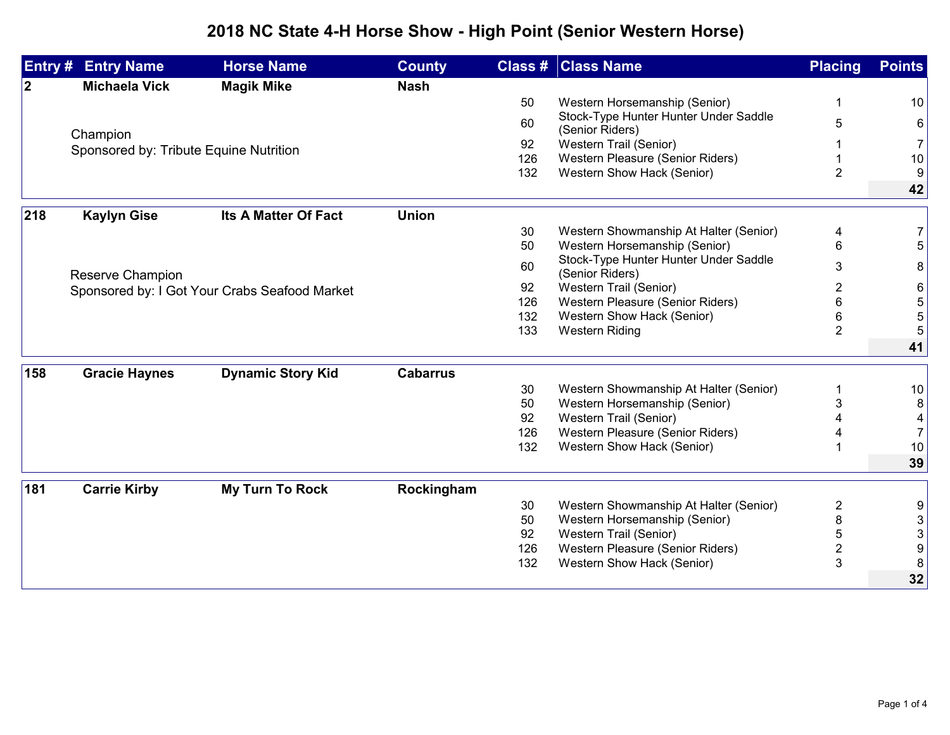## **2018 NC State 4-H Horse Show - High Point (Senior Western Horse)**

|              | <b>Entry # Entry Name</b>                          | <b>Horse Name</b>                             | <b>County</b>   |           | <b>Class # Class Name</b>                                      | <b>Placing</b>               | <b>Points</b>        |
|--------------|----------------------------------------------------|-----------------------------------------------|-----------------|-----------|----------------------------------------------------------------|------------------------------|----------------------|
| $\mathbf{2}$ | <b>Michaela Vick</b>                               | <b>Magik Mike</b>                             | <b>Nash</b>     |           |                                                                |                              |                      |
|              |                                                    |                                               |                 | 50        | Western Horsemanship (Senior)                                  | -1                           | 10                   |
|              |                                                    |                                               |                 | 60        | Stock-Type Hunter Hunter Under Saddle                          | 5                            | 6                    |
|              | Champion<br>Sponsored by: Tribute Equine Nutrition |                                               |                 |           | (Senior Riders)                                                |                              |                      |
|              |                                                    |                                               |                 | 92<br>126 | Western Trail (Senior)<br>Western Pleasure (Senior Riders)     |                              | $\overline{7}$<br>10 |
|              |                                                    |                                               |                 | 132       | Western Show Hack (Senior)                                     | $\overline{2}$               | 9                    |
|              |                                                    |                                               |                 |           |                                                                |                              | 42                   |
| 218          | <b>Kaylyn Gise</b>                                 | Its A Matter Of Fact                          | <b>Union</b>    |           |                                                                |                              |                      |
|              |                                                    |                                               |                 | 30        | Western Showmanship At Halter (Senior)                         | 4                            | $\overline{7}$       |
|              |                                                    |                                               |                 | 50        | Western Horsemanship (Senior)                                  | 6                            | 5                    |
|              | Reserve Champion                                   |                                               |                 | 60        | Stock-Type Hunter Hunter Under Saddle<br>(Senior Riders)       | 3                            | 8                    |
|              |                                                    | Sponsored by: I Got Your Crabs Seafood Market |                 | 92        | Western Trail (Senior)                                         | 2                            | 6                    |
|              |                                                    |                                               |                 | 126       | Western Pleasure (Senior Riders)                               | 6                            | 5                    |
|              |                                                    |                                               |                 | 132       | Western Show Hack (Senior)                                     | 6                            | 5                    |
|              |                                                    |                                               |                 | 133       | <b>Western Riding</b>                                          | $\overline{2}$               | 5                    |
|              |                                                    |                                               |                 |           |                                                                |                              | 41                   |
| 158          | <b>Gracie Haynes</b>                               | <b>Dynamic Story Kid</b>                      | <b>Cabarrus</b> |           |                                                                |                              |                      |
|              |                                                    |                                               |                 | 30        | Western Showmanship At Halter (Senior)                         | 1                            | 10                   |
|              |                                                    |                                               |                 | 50        | Western Horsemanship (Senior)                                  | 3                            | 8                    |
|              |                                                    |                                               |                 | 92        | Western Trail (Senior)                                         |                              | 4                    |
|              |                                                    |                                               |                 | 126       | Western Pleasure (Senior Riders)<br>Western Show Hack (Senior) |                              | $\overline{7}$       |
|              |                                                    |                                               |                 | 132       |                                                                |                              | 10<br>39             |
|              |                                                    |                                               |                 |           |                                                                |                              |                      |
| 181          | <b>Carrie Kirby</b>                                | <b>My Turn To Rock</b>                        | Rockingham      |           |                                                                |                              |                      |
|              |                                                    |                                               |                 | 30        | Western Showmanship At Halter (Senior)                         | $\overline{\mathbf{c}}$      | 9                    |
|              |                                                    |                                               |                 | 50<br>92  | Western Horsemanship (Senior)                                  | 8                            | 3                    |
|              |                                                    |                                               |                 | 126       | Western Trail (Senior)<br>Western Pleasure (Senior Riders)     | 5<br>$\overline{\mathbf{c}}$ | 3<br>9               |
|              |                                                    |                                               |                 | 132       | Western Show Hack (Senior)                                     | 3                            | 8                    |
|              |                                                    |                                               |                 |           |                                                                |                              | 32                   |
|              |                                                    |                                               |                 |           |                                                                |                              |                      |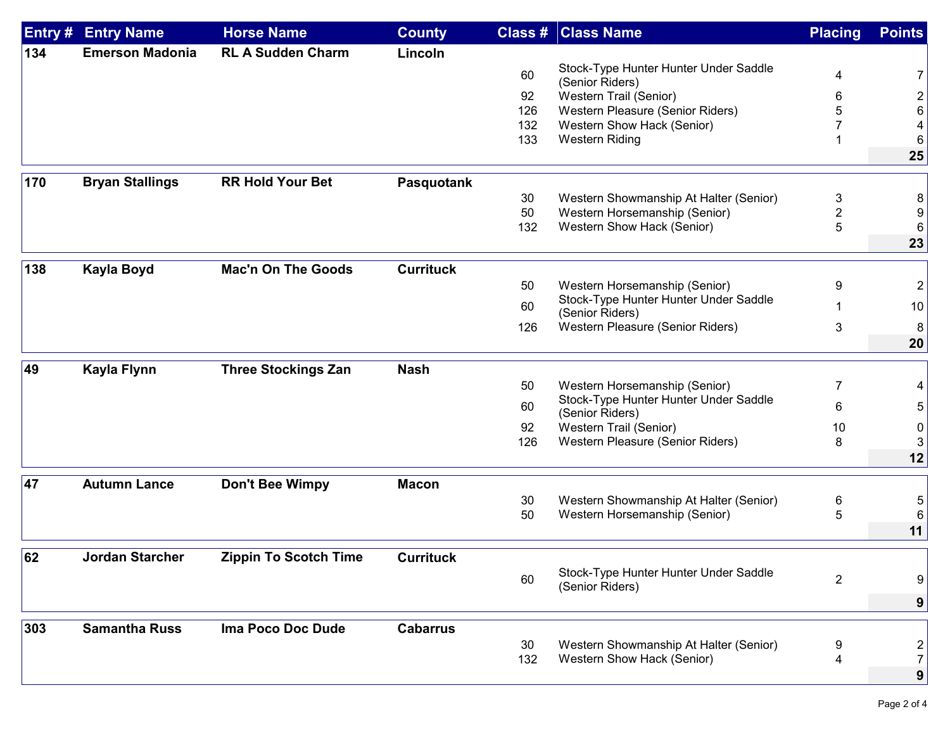| Entry # | <b>Entry Name</b>      | <b>Horse Name</b>          | <b>County</b>    | Class # | <b>Class Name</b>                                        | <b>Placing</b>          | <b>Points</b>           |
|---------|------------------------|----------------------------|------------------|---------|----------------------------------------------------------|-------------------------|-------------------------|
| 134     | <b>Emerson Madonia</b> | <b>RL A Sudden Charm</b>   | Lincoln          |         |                                                          |                         |                         |
|         |                        |                            |                  | 60      | Stock-Type Hunter Hunter Under Saddle<br>(Senior Riders) | 4                       | 7                       |
|         |                        |                            |                  | 92      | Western Trail (Senior)                                   | 6                       | $\overline{\mathbf{c}}$ |
|         |                        |                            |                  | 126     | Western Pleasure (Senior Riders)                         |                         | 6                       |
|         |                        |                            |                  | 132     | Western Show Hack (Senior)                               |                         | 4                       |
|         |                        |                            |                  | 133     | Western Riding                                           |                         | 6                       |
|         |                        |                            |                  |         |                                                          |                         | 25                      |
| 170     | <b>Bryan Stallings</b> | <b>RR Hold Your Bet</b>    | Pasquotank       |         |                                                          |                         |                         |
|         |                        |                            |                  | 30      | Western Showmanship At Halter (Senior)                   | 3                       | 8                       |
|         |                        |                            |                  | 50      | Western Horsemanship (Senior)                            | $\overline{\mathbf{c}}$ | 9                       |
|         |                        |                            |                  | 132     | Western Show Hack (Senior)                               | 5                       | 6                       |
|         |                        |                            |                  |         |                                                          |                         | 23                      |
| 138     | <b>Kayla Boyd</b>      | <b>Mac'n On The Goods</b>  | <b>Currituck</b> |         |                                                          |                         |                         |
|         |                        |                            |                  | 50      | Western Horsemanship (Senior)                            | 9                       | $\overline{c}$          |
|         |                        |                            |                  | 60      | Stock-Type Hunter Hunter Under Saddle                    |                         | 10                      |
|         |                        |                            |                  |         | (Senior Riders)<br>Western Pleasure (Senior Riders)      |                         |                         |
|         |                        |                            |                  | 126     |                                                          | 3                       | 8 <sup>1</sup>          |
|         |                        |                            |                  |         |                                                          |                         | 20                      |
| 49      | <b>Kayla Flynn</b>     | <b>Three Stockings Zan</b> | <b>Nash</b>      |         |                                                          |                         |                         |
|         |                        |                            |                  | 50      | Western Horsemanship (Senior)                            | 7                       | 4                       |
|         |                        |                            |                  | 60      | Stock-Type Hunter Hunter Under Saddle<br>(Senior Riders) | 6                       | 5 <sup>2</sup>          |
|         |                        |                            |                  | 92      | Western Trail (Senior)                                   | 10                      | 0                       |
|         |                        |                            |                  | 126     | Western Pleasure (Senior Riders)                         | 8                       | 3                       |
|         |                        |                            |                  |         |                                                          |                         | 12                      |
|         |                        |                            |                  |         |                                                          |                         |                         |
| 47      | <b>Autumn Lance</b>    | <b>Don't Bee Wimpy</b>     | <b>Macon</b>     |         |                                                          |                         |                         |
|         |                        |                            |                  | 30      | Western Showmanship At Halter (Senior)                   | 6                       | 5                       |
|         |                        |                            |                  | 50      | Western Horsemanship (Senior)                            | 5                       | 6                       |
|         |                        |                            |                  |         |                                                          |                         | 11                      |
| 62      | <b>Jordan Starcher</b> | Zippin To Scotch Time      | <b>Currituck</b> |         |                                                          |                         |                         |
|         |                        |                            |                  | 60      | Stock-Type Hunter Hunter Under Saddle<br>(Senior Riders) | $\overline{2}$          | 9                       |
|         |                        |                            |                  |         |                                                          |                         | 9                       |
|         |                        |                            |                  |         |                                                          |                         |                         |
| 303     | <b>Samantha Russ</b>   | Ima Poco Doc Dude          | <b>Cabarrus</b>  | 30      | Western Showmanship At Halter (Senior)                   | 9                       |                         |
|         |                        |                            |                  | 132     | Western Show Hack (Senior)                               | 4                       | 2<br>7                  |
|         |                        |                            |                  |         |                                                          |                         | 9 <sup>1</sup>          |
|         |                        |                            |                  |         |                                                          |                         |                         |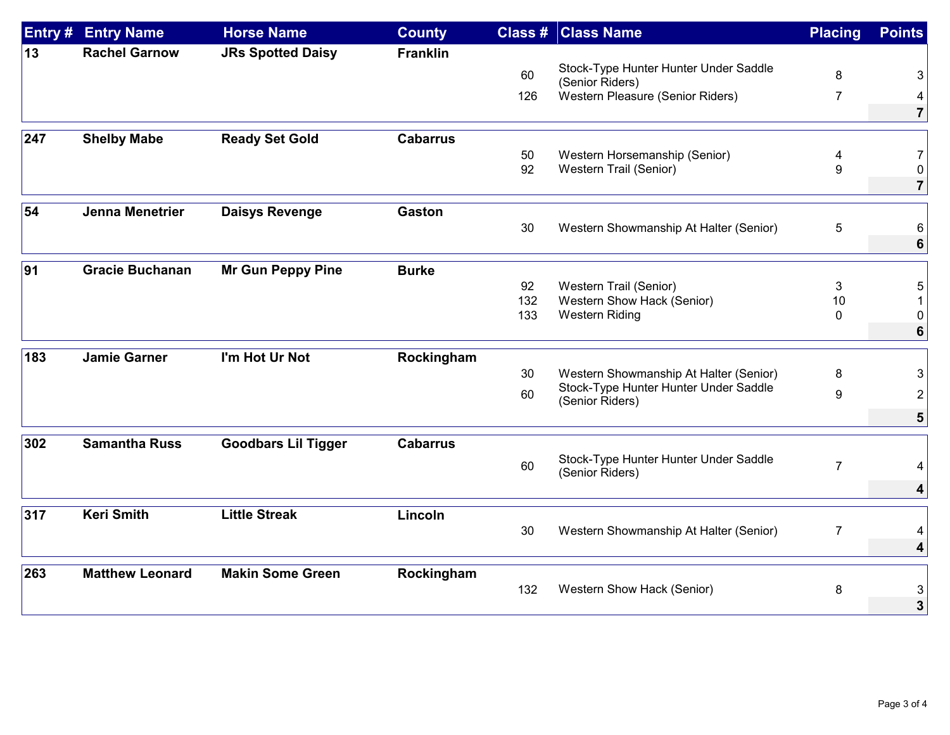| Entry # | <b>Entry Name</b>      | <b>Horse Name</b>          | <b>County</b>   |     | <b>Class # Class Name</b>                                | <b>Placing</b> | <b>Points</b>  |
|---------|------------------------|----------------------------|-----------------|-----|----------------------------------------------------------|----------------|----------------|
| 13      | <b>Rachel Garnow</b>   | <b>JRs Spotted Daisy</b>   | <b>Franklin</b> |     |                                                          |                |                |
|         |                        |                            |                 | 60  | Stock-Type Hunter Hunter Under Saddle                    | 8              | 3              |
|         |                        |                            |                 | 126 | (Senior Riders)<br>Western Pleasure (Senior Riders)      | $\overline{7}$ | 4              |
|         |                        |                            |                 |     |                                                          |                | 7 <sup>1</sup> |
|         |                        |                            |                 |     |                                                          |                |                |
| 247     | <b>Shelby Mabe</b>     | <b>Ready Set Gold</b>      | <b>Cabarrus</b> | 50  |                                                          |                | 7 <sup>1</sup> |
|         |                        |                            |                 | 92  | Western Horsemanship (Senior)<br>Western Trail (Senior)  | 4<br>9         | $\overline{0}$ |
|         |                        |                            |                 |     |                                                          |                | $\overline{7}$ |
| 54      | Jenna Menetrier        | <b>Daisys Revenge</b>      | <b>Gaston</b>   |     |                                                          |                |                |
|         |                        |                            |                 | 30  | Western Showmanship At Halter (Senior)                   | 5              | 6              |
|         |                        |                            |                 |     |                                                          |                | 6 <sup>1</sup> |
| 91      | <b>Gracie Buchanan</b> | <b>Mr Gun Peppy Pine</b>   | <b>Burke</b>    |     |                                                          |                |                |
|         |                        |                            |                 | 92  | Western Trail (Senior)                                   | 3              | 5              |
|         |                        |                            |                 | 132 | Western Show Hack (Senior)                               | 10             |                |
|         |                        |                            |                 | 133 | <b>Western Riding</b>                                    | 0              | 0              |
|         |                        |                            |                 |     |                                                          |                | 6 <sup>1</sup> |
| 183     | <b>Jamie Garner</b>    | I'm Hot Ur Not             | Rockingham      |     |                                                          |                |                |
|         |                        |                            |                 | 30  | Western Showmanship At Halter (Senior)                   | 8              | 3              |
|         |                        |                            |                 | 60  | Stock-Type Hunter Hunter Under Saddle                    | 9              | $\overline{2}$ |
|         |                        |                            |                 |     | (Senior Riders)                                          |                | 5 <sup>1</sup> |
|         |                        |                            |                 |     |                                                          |                |                |
| 302     | <b>Samantha Russ</b>   | <b>Goodbars Lil Tigger</b> | <b>Cabarrus</b> |     |                                                          |                |                |
|         |                        |                            |                 | 60  | Stock-Type Hunter Hunter Under Saddle<br>(Senior Riders) | $\overline{7}$ | 4              |
|         |                        |                            |                 |     |                                                          |                | 4              |
| 317     | <b>Keri Smith</b>      | <b>Little Streak</b>       | Lincoln         |     |                                                          |                |                |
|         |                        |                            |                 | 30  | Western Showmanship At Halter (Senior)                   | $\overline{7}$ |                |
|         |                        |                            |                 |     |                                                          |                | 4              |
| 263     | <b>Matthew Leonard</b> | <b>Makin Some Green</b>    | Rockingham      |     |                                                          |                |                |
|         |                        |                            |                 | 132 | Western Show Hack (Senior)                               | 8              | 3              |
|         |                        |                            |                 |     |                                                          |                | 3 <sup>1</sup> |
|         |                        |                            |                 |     |                                                          |                |                |